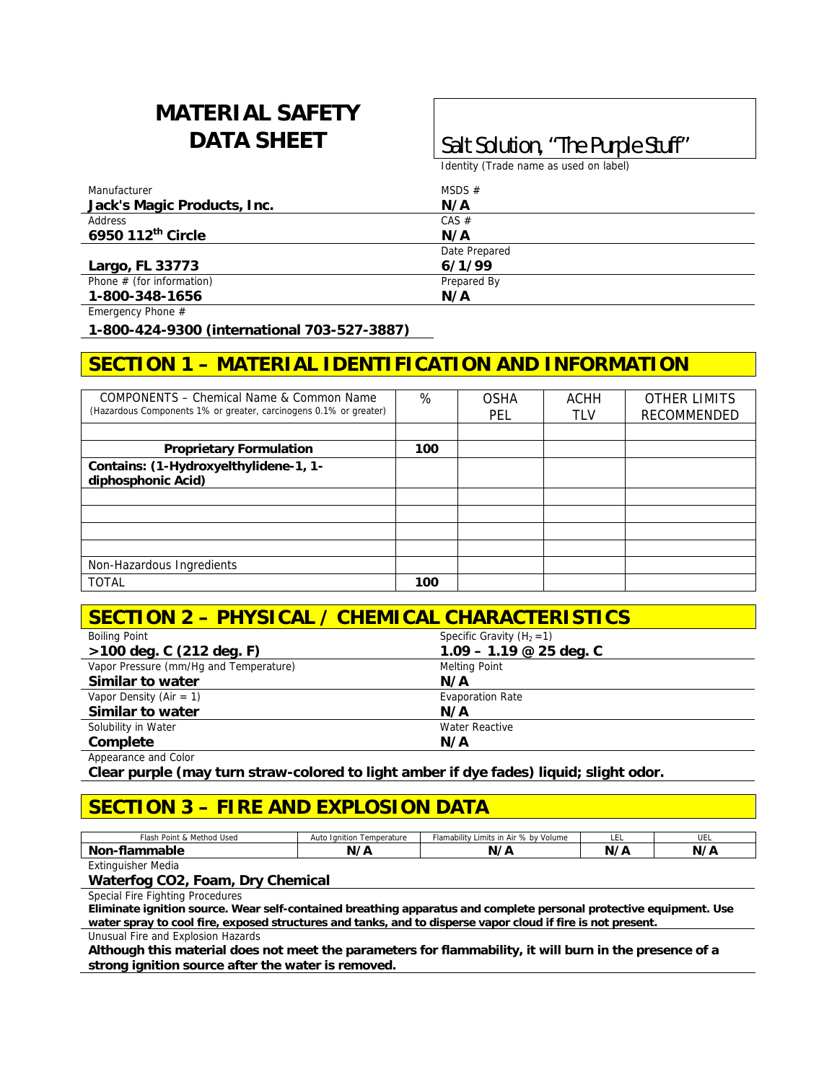# **MATERIAL SAFETY**

## **DATA SHEET** <br>Salt Solution, "The Purple Stuff"

Identity (Trade name as used on label)

| Manufacturer                  | MSDS $#$      |  |
|-------------------------------|---------------|--|
| Jack's Magic Products, Inc.   | N/A           |  |
| Address                       | CAS #         |  |
| 6950 112 <sup>th</sup> Circle | N/A           |  |
|                               | Date Prepared |  |
| Largo, FL 33773               | 6/1/99        |  |
| Phone $#$ (for information)   | Prepared By   |  |
| 1-800-348-1656                | N/A           |  |

Emergency Phone #

**1-800-424-9300 (international 703-527-3887)** 

### **SECTION 1 – MATERIAL IDENTIFICATION AND INFORMATION**

| COMPONENTS - Chemical Name & Common Name<br>(Hazardous Components 1% or greater, carcinogens 0.1% or greater) | %   | <b>OSHA</b><br>PEL | ACHH<br>TLV | <b>OTHER LIMITS</b><br><b>RECOMMENDED</b> |
|---------------------------------------------------------------------------------------------------------------|-----|--------------------|-------------|-------------------------------------------|
|                                                                                                               |     |                    |             |                                           |
| <b>Proprietary Formulation</b>                                                                                | 100 |                    |             |                                           |
| Contains: (1-Hydroxyelthylidene-1, 1-<br>diphosphonic Acid)                                                   |     |                    |             |                                           |
|                                                                                                               |     |                    |             |                                           |
|                                                                                                               |     |                    |             |                                           |
|                                                                                                               |     |                    |             |                                           |
|                                                                                                               |     |                    |             |                                           |
| Non-Hazardous Ingredients                                                                                     |     |                    |             |                                           |
| <b>TOTAL</b>                                                                                                  | 100 |                    |             |                                           |

#### **SECTION 2 – PHYSICAL / CHEMICAL CHARACTERISTICS**

| <b>Boiling Point</b>                   | Specific Gravity $(H_2 = 1)$ |  |
|----------------------------------------|------------------------------|--|
| $>100$ deg. C (212 deg. F)             | $1.09 - 1.19 \& 25$ deg. C   |  |
| Vapor Pressure (mm/Hq and Temperature) | Melting Point                |  |
| Similar to water                       | N/A                          |  |
| Vapor Density (Air = 1)                | <b>Evaporation Rate</b>      |  |
| Similar to water                       | N/A                          |  |
| Solubility in Water                    | Water Reactive               |  |
| Complete                               | N/A                          |  |
| Appearance and Color                   |                              |  |

**Clear purple (may turn straw-colored to light amber if dye fades) liquid; slight odor.** 

#### **SECTION 3 – FIRE AND EXPLOSION DATA**

| . Method Used<br>Point<br>∙iasn<br>. .<br>- CV | Temperature<br>Tanition<br>Auto | Flamability<br>% by Volume<br>Limits in Air 1 | --- | ᄖ<br>UEL  |
|------------------------------------------------|---------------------------------|-----------------------------------------------|-----|-----------|
| - --<br>וממ<br>чаріє                           | 1 h<br>N                        | N,                                            | N,  | $1/\hbar$ |
| the contract of the contract of the            |                                 |                                               |     |           |

Extinguisher Media

#### **Waterfog CO2, Foam, Dry Chemical**

Special Fire Fighting Procedures

**Eliminate ignition source. Wear self-contained breathing apparatus and complete personal protective equipment. Use water spray to cool fire, exposed structures and tanks, and to disperse vapor cloud if fire is not present.** 

Unusual Fire and Explosion Hazards

**Although this material does not meet the parameters for flammability, it will burn in the presence of a strong ignition source after the water is removed.**